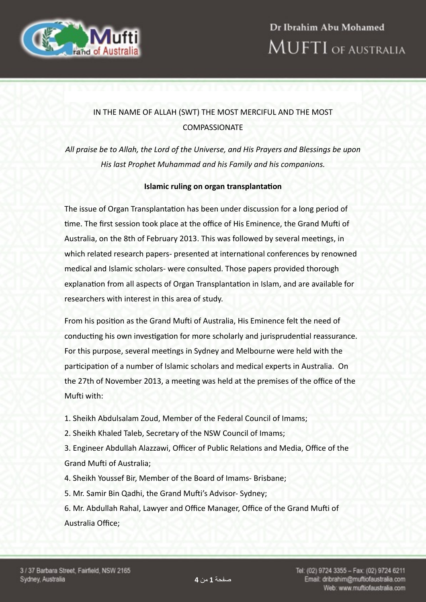

## IN THE NAME OF ALLAH (SWT) THE MOST MERCIFUL AND THE MOST COMPASSIONATE

All praise be to Allah, the Lord of the Universe, and His Prayers and Blessings be upon His last Prophet Muhammad and his Family and his companions.

## **Islamic ruling on organ transplantation**

The issue of Organ Transplantation has been under discussion for a long period of time. The first session took place at the office of His Eminence, the Grand Mufti of Australia, on the 8th of February 2013. This was followed by several meetings, in which related research papers- presented at international conferences by renowned medical and Islamic scholars- were consulted. Those papers provided thorough explanation from all aspects of Organ Transplantation in Islam, and are available for researchers with interest in this area of study.

From his position as the Grand Mufti of Australia, His Eminence felt the need of conducting his own investigation for more scholarly and jurisprudential reassurance. For this purpose, several meetings in Sydney and Melbourne were held with the participation of a number of Islamic scholars and medical experts in Australia. On the 27th of November 2013, a meeting was held at the premises of the office of the Mufti with:

- 1. Sheikh Abdulsalam Zoud, Member of the Federal Council of Imams;
- 2. Sheikh Khaled Taleb, Secretary of the NSW Council of Imams;

3. Engineer Abdullah Alazzawi, Officer of Public Relations and Media, Office of the Grand Mufti of Australia:

- 4. Sheikh Youssef Bir, Member of the Board of Imams- Brisbane;
- 5. Mr. Samir Bin Qadhi, the Grand Mufti's Advisor- Sydney;

6. Mr. Abdullah Rahal, Lawyer and Office Manager, Office of the Grand Mufti of Australia Office;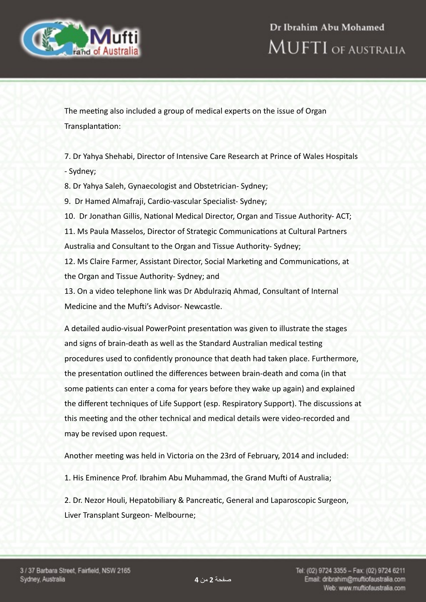



The meeting also included a group of medical experts on the issue of Organ Transplantation:

7. Dr Yahya Shehabi, Director of Intensive Care Research at Prince of Wales Hospitals - Sydney;

8. Dr Yahya Saleh, Gynaecologist and Obstetrician- Sydney;

9. Dr Hamed Almafraji, Cardio-vascular Specialist- Sydney;

10. Dr Jonathan Gillis, National Medical Director, Organ and Tissue Authority-ACT; 11. Ms Paula Masselos, Director of Strategic Communications at Cultural Partners Australia and Consultant to the Organ and Tissue Authority- Sydney;

12. Ms Claire Farmer, Assistant Director, Social Marketing and Communications, at the Organ and Tissue Authority- Sydney; and

13. On a video telephone link was Dr Abdulraziq Ahmad, Consultant of Internal Medicine and the Mufti's Advisor- Newcastle.

A detailed audio-visual PowerPoint presentation was given to illustrate the stages and signs of brain-death as well as the Standard Australian medical testing procedures used to confidently pronounce that death had taken place. Furthermore, the presentation outlined the differences between brain-death and coma (in that some patients can enter a coma for years before they wake up again) and explained the different techniques of Life Support (esp. Respiratory Support). The discussions at this meeting and the other technical and medical details were video-recorded and may be revised upon request.

Another meeting was held in Victoria on the 23rd of February, 2014 and included:

1. His Eminence Prof. Ibrahim Abu Muhammad, the Grand Mufti of Australia;

2. Dr. Nezor Houli, Hepatobiliary & Pancreatic, General and Laparoscopic Surgeon, Liver Transplant Surgeon- Melbourne;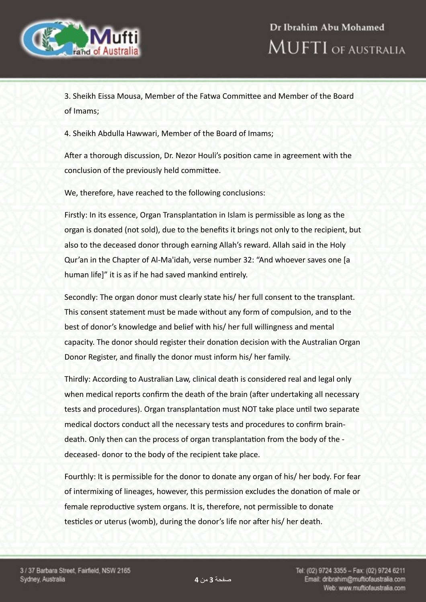

3. Sheikh Eissa Mousa, Member of the Fatwa Committee and Member of the Board of Imams;

4. Sheikh Abdulla Hawwari, Member of the Board of Imams;

After a thorough discussion, Dr. Nezor Houli's position came in agreement with the conclusion of the previously held committee.

We, therefore, have reached to the following conclusions:

Firstly: In its essence, Organ Transplantation in Islam is permissible as long as the organ is donated (not sold), due to the benefits it brings not only to the recipient, but also to the deceased donor through earning Allah's reward. Allah said in the Holy Qur'an in the Chapter of Al-Ma'idah, verse number 32: "And whoever saves one [a] human life]" it is as if he had saved mankind entirely.

Secondly: The organ donor must clearly state his/ her full consent to the transplant. This consent statement must be made without any form of compulsion, and to the best of donor's knowledge and belief with his/ her full willingness and mental capacity. The donor should register their donation decision with the Australian Organ Donor Register, and finally the donor must inform his/ her family.

Thirdly: According to Australian Law, clinical death is considered real and legal only when medical reports confirm the death of the brain (after undertaking all necessary tests and procedures). Organ transplantation must NOT take place until two separate medical doctors conduct all the necessary tests and procedures to confirm braindeath. Only then can the process of organ transplantation from the body of the deceased- donor to the body of the recipient take place.

Fourthly: It is permissible for the donor to donate any organ of his/ her body. For fear of intermixing of lineages, however, this permission excludes the donation of male or female reproductive system organs. It is, therefore, not permissible to donate testicles or uterus (womb), during the donor's life nor after his/ her death.

صفحة **3** من **4**